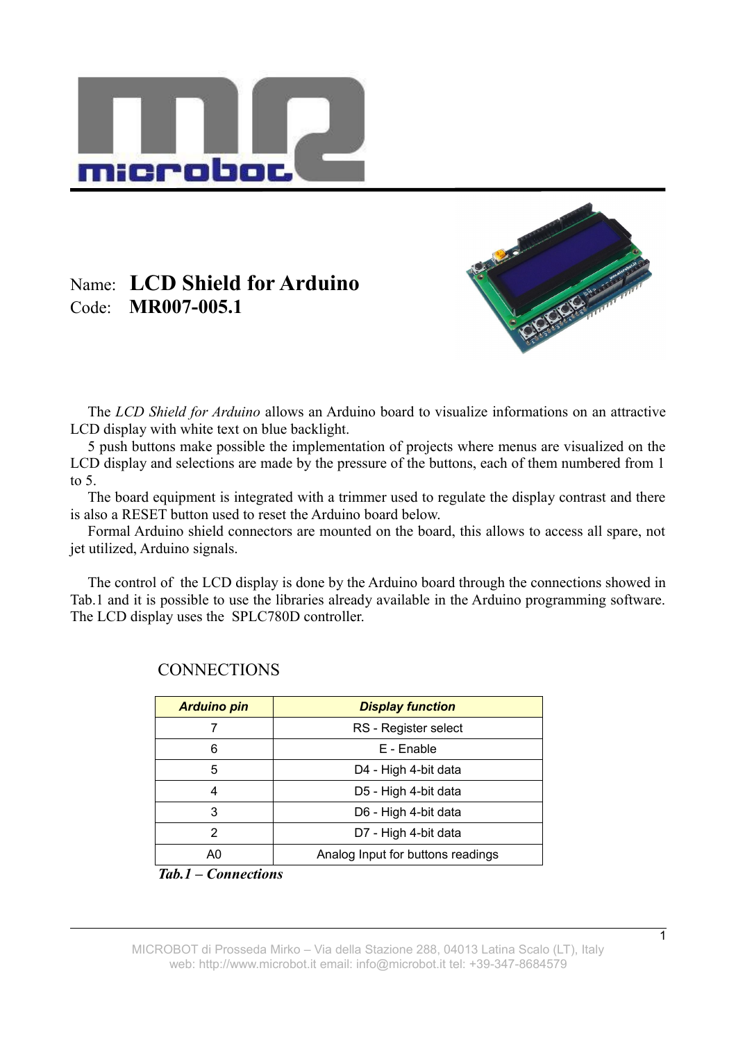

## Name: **LCD Shield for Arduino** Code: **MR007-005.1**



The *LCD Shield for Arduino* allows an Arduino board to visualize informations on an attractive LCD display with white text on blue backlight.

5 push buttons make possible the implementation of projects where menus are visualized on the LCD display and selections are made by the pressure of the buttons, each of them numbered from 1 to  $5<sub>1</sub>$ 

The board equipment is integrated with a trimmer used to regulate the display contrast and there is also a RESET button used to reset the Arduino board below.

Formal Arduino shield connectors are mounted on the board, this allows to access all spare, not jet utilized, Arduino signals.

The control of the LCD display is done by the Arduino board through the connections showed in Tab.1 and it is possible to use the libraries already available in the Arduino programming software. The LCD display uses the SPLC780D controller.

| <b>Arduino pin</b> | <b>Display function</b>           |
|--------------------|-----------------------------------|
|                    | RS - Register select              |
| 6                  | E - Enable                        |
| 5                  | D4 - High 4-bit data              |
| 4                  | D5 - High 4-bit data              |
| 3                  | D6 - High 4-bit data              |
| 2                  | D7 - High 4-bit data              |
| AΩ                 | Analog Input for buttons readings |

## **CONNECTIONS**

*Tab.1 – Connections*